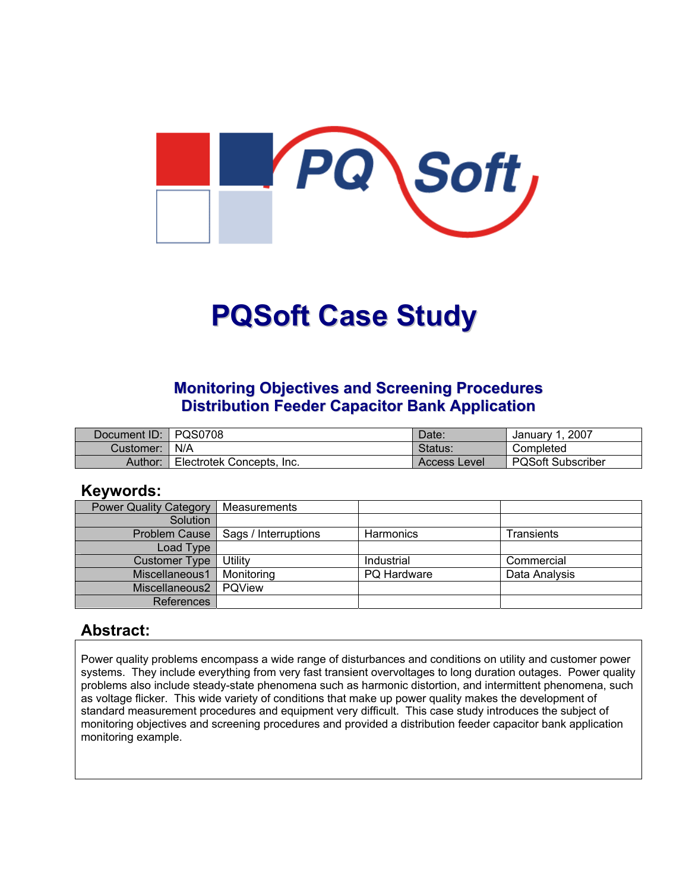

# **PQSoft Case Study**

#### **Monitoring Objectives and Screening Procedures Distribution Feeder Capacitor Bank Application**

| Document ID: | l POS0708                 | Date:        | 2007<br>January <sup>2</sup> |
|--------------|---------------------------|--------------|------------------------------|
| Customer:    | N/A                       | Status.      | Completed                    |
| Author:      | Electrotek Concepts, Inc. | Access Level | <b>PQSoft Subscriber</b>     |

#### **Keywords:**

| <b>Power Quality Category</b> | Measurements         |             |               |
|-------------------------------|----------------------|-------------|---------------|
| Solution                      |                      |             |               |
| Problem Cause                 | Sags / Interruptions | Harmonics   | Transients    |
| Load Type                     |                      |             |               |
| <b>Customer Type</b>          | Utility              | Industrial  | Commercial    |
| Miscellaneous1                | Monitoring           | PQ Hardware | Data Analysis |
| Miscellaneous2                | <b>POView</b>        |             |               |
| References                    |                      |             |               |

#### **Abstract:**

Power quality problems encompass a wide range of disturbances and conditions on utility and customer power systems. They include everything from very fast transient overvoltages to long duration outages. Power quality problems also include steady-state phenomena such as harmonic distortion, and intermittent phenomena, such as voltage flicker. This wide variety of conditions that make up power quality makes the development of standard measurement procedures and equipment very difficult. This case study introduces the subject of monitoring objectives and screening procedures and provided a distribution feeder capacitor bank application monitoring example.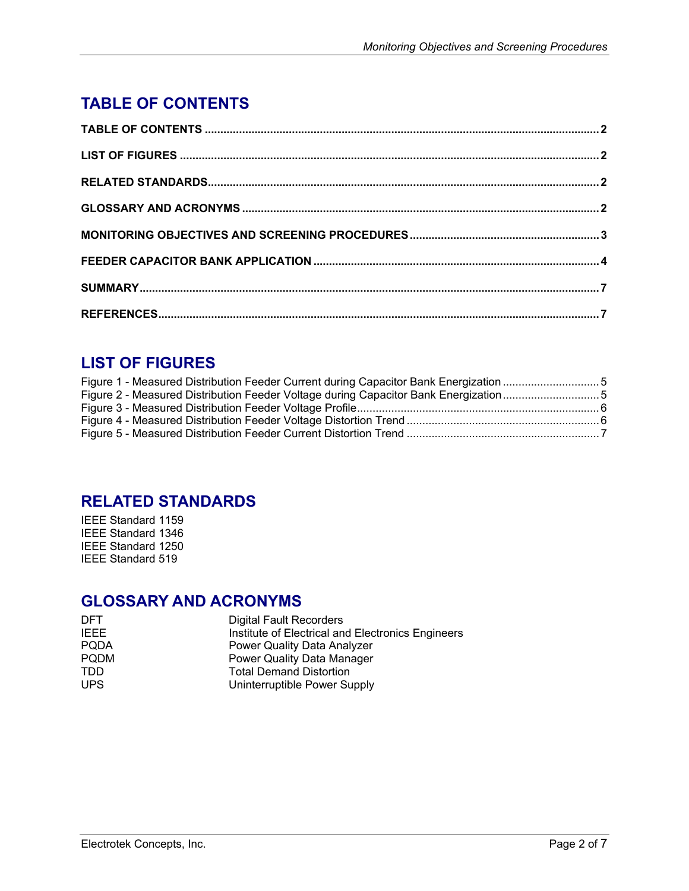# <span id="page-1-0"></span>**TABLE OF CONTENTS**

## **LIST OF FIGURES**

| Figure 1 - Measured Distribution Feeder Current during Capacitor Bank Energization 5 |  |
|--------------------------------------------------------------------------------------|--|
| Figure 2 - Measured Distribution Feeder Voltage during Capacitor Bank Energization5  |  |
|                                                                                      |  |
|                                                                                      |  |
|                                                                                      |  |

#### **RELATED STANDARDS**

IEEE Standard 1159 IEEE Standard 1346 IEEE Standard 1250 IEEE Standard 519

### **GLOSSARY AND ACRONYMS**

| <b>DFT</b>  | <b>Digital Fault Recorders</b>                    |
|-------------|---------------------------------------------------|
| <b>IFFF</b> | Institute of Electrical and Electronics Engineers |
| <b>PODA</b> | Power Quality Data Analyzer                       |
| <b>PODM</b> | Power Quality Data Manager                        |
| TDD.        | <b>Total Demand Distortion</b>                    |
| <b>UPS</b>  | Uninterruptible Power Supply                      |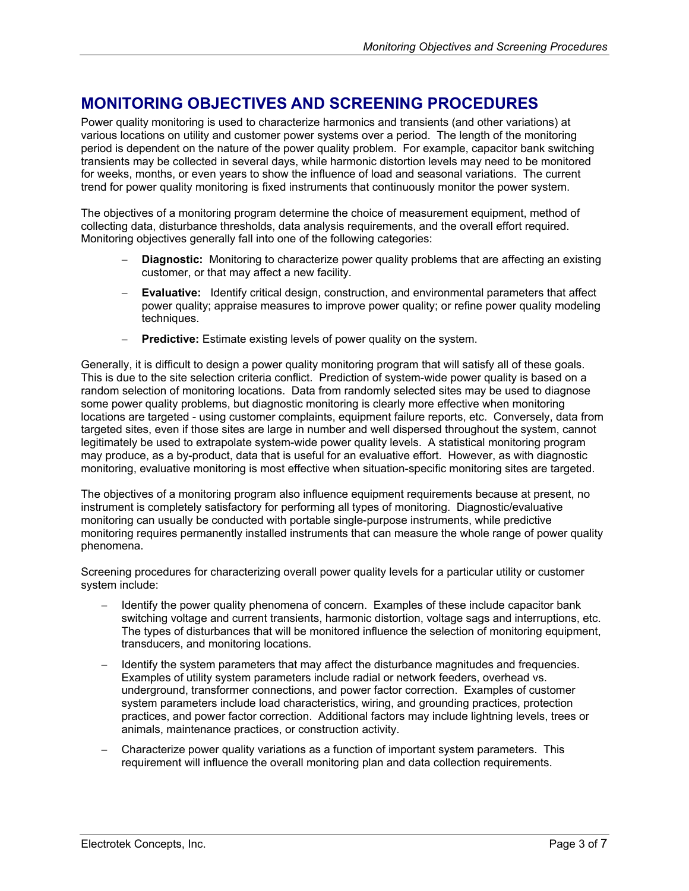### <span id="page-2-0"></span>**MONITORING OBJECTIVES AND SCREENING PROCEDURES**

Power quality monitoring is used to characterize harmonics and transients (and other variations) at various locations on utility and customer power systems over a period. The length of the monitoring period is dependent on the nature of the power quality problem. For example, capacitor bank switching transients may be collected in several days, while harmonic distortion levels may need to be monitored for weeks, months, or even years to show the influence of load and seasonal variations. The current trend for power quality monitoring is fixed instruments that continuously monitor the power system.

The objectives of a monitoring program determine the choice of measurement equipment, method of collecting data, disturbance thresholds, data analysis requirements, and the overall effort required. Monitoring objectives generally fall into one of the following categories:

- Diagnostic: Monitoring to characterize power quality problems that are affecting an existing customer, or that may affect a new facility.
- − **Evaluative:** Identify critical design, construction, and environmental parameters that affect power quality; appraise measures to improve power quality; or refine power quality modeling techniques.
- − **Predictive:** Estimate existing levels of power quality on the system.

Generally, it is difficult to design a power quality monitoring program that will satisfy all of these goals. This is due to the site selection criteria conflict. Prediction of system-wide power quality is based on a random selection of monitoring locations. Data from randomly selected sites may be used to diagnose some power quality problems, but diagnostic monitoring is clearly more effective when monitoring locations are targeted - using customer complaints, equipment failure reports, etc. Conversely, data from targeted sites, even if those sites are large in number and well dispersed throughout the system, cannot legitimately be used to extrapolate system-wide power quality levels. A statistical monitoring program may produce, as a by-product, data that is useful for an evaluative effort. However, as with diagnostic monitoring, evaluative monitoring is most effective when situation-specific monitoring sites are targeted.

The objectives of a monitoring program also influence equipment requirements because at present, no instrument is completely satisfactory for performing all types of monitoring. Diagnostic/evaluative monitoring can usually be conducted with portable single-purpose instruments, while predictive monitoring requires permanently installed instruments that can measure the whole range of power quality phenomena.

Screening procedures for characterizing overall power quality levels for a particular utility or customer system include:

- Hetartify the power quality phenomena of concern. Examples of these include capacitor bank switching voltage and current transients, harmonic distortion, voltage sags and interruptions, etc. The types of disturbances that will be monitored influence the selection of monitoring equipment, transducers, and monitoring locations.
- Helentify the system parameters that may affect the disturbance magnitudes and frequencies. Examples of utility system parameters include radial or network feeders, overhead vs. underground, transformer connections, and power factor correction. Examples of customer system parameters include load characteristics, wiring, and grounding practices, protection practices, and power factor correction. Additional factors may include lightning levels, trees or animals, maintenance practices, or construction activity.
- − Characterize power quality variations as a function of important system parameters. This requirement will influence the overall monitoring plan and data collection requirements.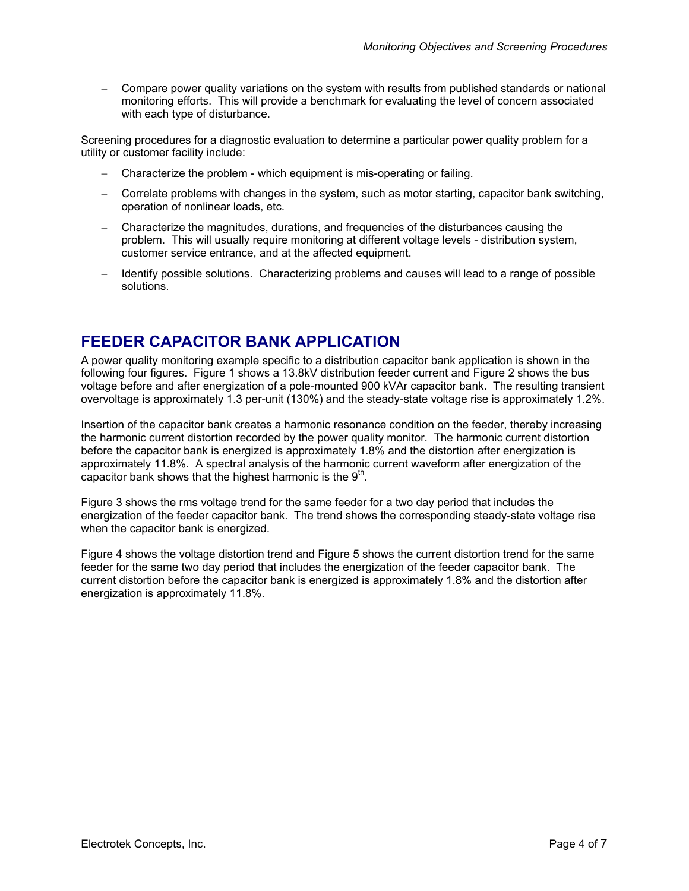<span id="page-3-0"></span>− Compare power quality variations on the system with results from published standards or national monitoring efforts. This will provide a benchmark for evaluating the level of concern associated with each type of disturbance.

Screening procedures for a diagnostic evaluation to determine a particular power quality problem for a utility or customer facility include:

- − Characterize the problem which equipment is mis-operating or failing.
- − Correlate problems with changes in the system, such as motor starting, capacitor bank switching, operation of nonlinear loads, etc.
- − Characterize the magnitudes, durations, and frequencies of the disturbances causing the problem. This will usually require monitoring at different voltage levels - distribution system, customer service entrance, and at the affected equipment.
- Identify possible solutions. Characterizing problems and causes will lead to a range of possible solutions.

#### **FEEDER CAPACITOR BANK APPLICATION**

A power quality monitoring example specific to a distribution capacitor bank application is shown in the following four figures. [Figure 1](#page-4-1) shows a 13.8kV distribution feeder current and [Figure 2 s](#page-4-2)hows the bus voltage before and after energization of a pole-mounted 900 kVAr capacitor bank. The resulting transient overvoltage is approximately 1.3 per-unit (130%) and the steady-state voltage rise is approximately 1.2%.

Insertion of the capacitor bank creates a harmonic resonance condition on the feeder, thereby increasing the harmonic current distortion recorded by the power quality monitor. The harmonic current distortion before the capacitor bank is energized is approximately 1.8% and the distortion after energization is approximately 11.8%. A spectral analysis of the harmonic current waveform after energization of the capacitor bank shows that the highest harmonic is the  $9<sup>th</sup>$ .

[Figure 3](#page-5-1) shows the rms voltage trend for the same feeder for a two day period that includes the energization of the feeder capacitor bank. The trend shows the corresponding steady-state voltage rise when the capacitor bank is energized.

[Figure 4](#page-5-2) shows the voltage distortion trend and [Figure 5](#page-6-1) shows the current distortion trend for the same feeder for the same two day period that includes the energization of the feeder capacitor bank. The current distortion before the capacitor bank is energized is approximately 1.8% and the distortion after energization is approximately 11.8%.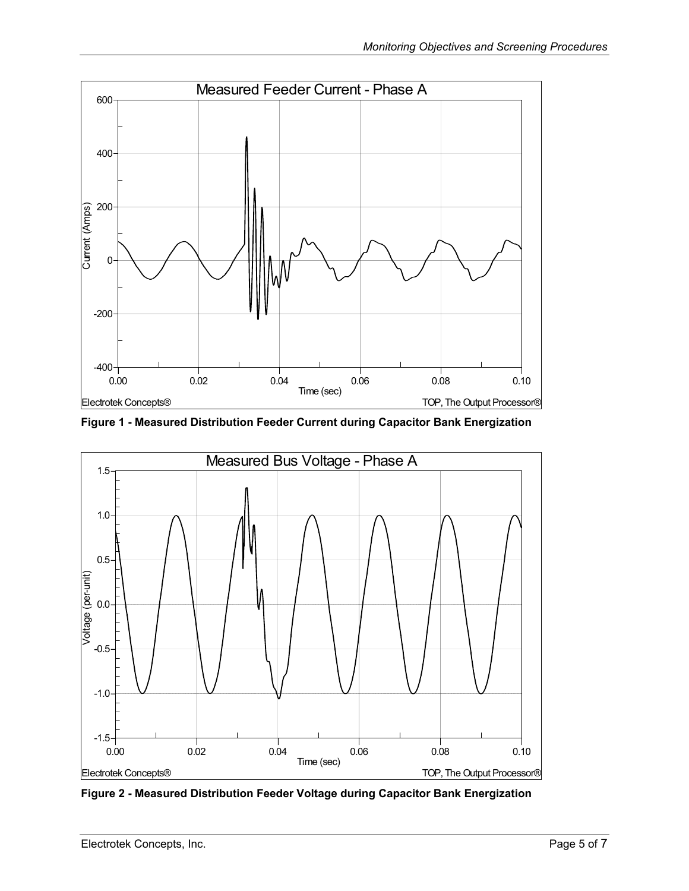<span id="page-4-1"></span><span id="page-4-0"></span>

**Figure 1 - Measured Distribution Feeder Current during Capacitor Bank Energization** 

<span id="page-4-2"></span>

**Figure 2 - Measured Distribution Feeder Voltage during Capacitor Bank Energization**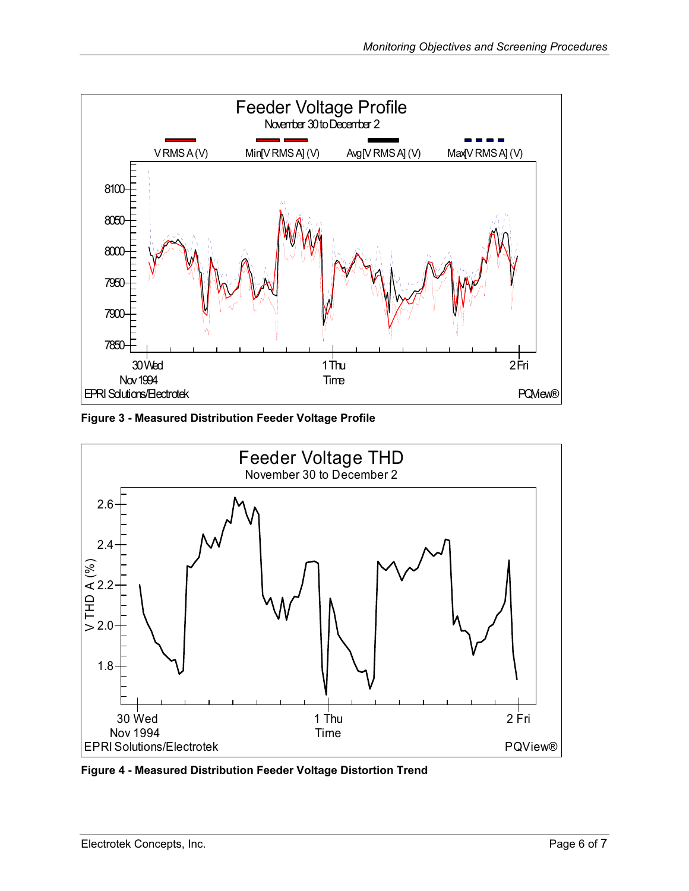<span id="page-5-1"></span><span id="page-5-0"></span>

**Figure 3 - Measured Distribution Feeder Voltage Profile** 

<span id="page-5-2"></span>

**Figure 4 - Measured Distribution Feeder Voltage Distortion Trend**